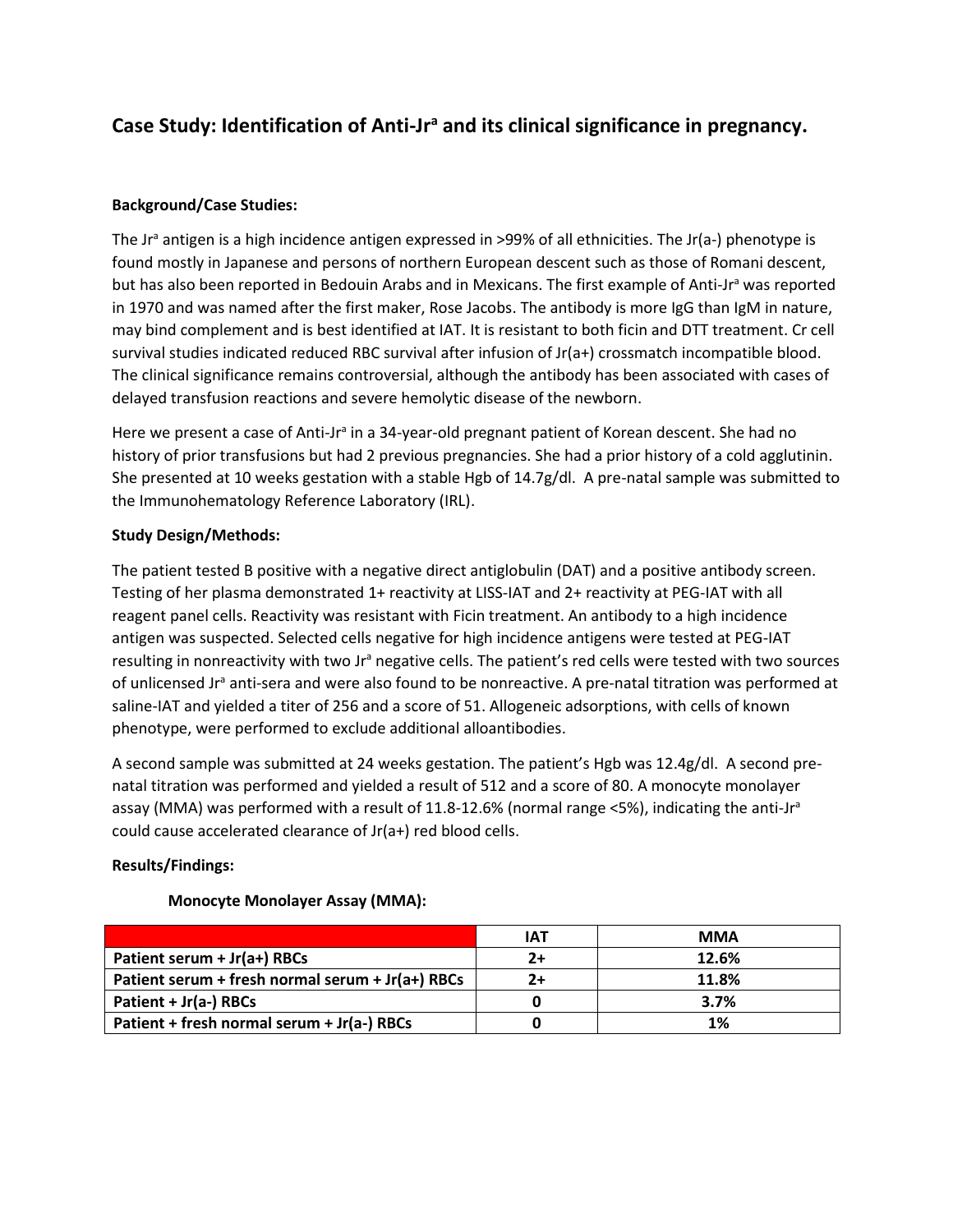# **Case Study: Identification of Anti-Jr<sup>a</sup> and its clinical significance in pregnancy.**

## **Background/Case Studies:**

The Jr<sup>a</sup> antigen is a high incidence antigen expressed in >99% of all ethnicities. The Jr(a-) phenotype is found mostly in Japanese and persons of northern European descent such as those of Romani descent, but has also been reported in Bedouin Arabs and in Mexicans. The first example of Anti-Jr<sup>a</sup> was reported in 1970 and was named after the first maker, Rose Jacobs. The antibody is more IgG than IgM in nature, may bind complement and is best identified at IAT. It is resistant to both ficin and DTT treatment. Cr cell survival studies indicated reduced RBC survival after infusion of Jr(a+) crossmatch incompatible blood. The clinical significance remains controversial, although the antibody has been associated with cases of delayed transfusion reactions and severe hemolytic disease of the newborn.

Here we present a case of Anti-Jr<sup>a</sup> in a 34-year-old pregnant patient of Korean descent. She had no history of prior transfusions but had 2 previous pregnancies. She had a prior history of a cold agglutinin. She presented at 10 weeks gestation with a stable Hgb of 14.7g/dl. A pre-natal sample was submitted to the Immunohematology Reference Laboratory (IRL).

## **Study Design/Methods:**

The patient tested B positive with a negative direct antiglobulin (DAT) and a positive antibody screen. Testing of her plasma demonstrated 1+ reactivity at LISS-IAT and 2+ reactivity at PEG-IAT with all reagent panel cells. Reactivity was resistant with Ficin treatment. An antibody to a high incidence antigen was suspected. Selected cells negative for high incidence antigens were tested at PEG-IAT resulting in nonreactivity with two Jr<sup>a</sup> negative cells. The patient's red cells were tested with two sources of unlicensed Jr<sup>a</sup> anti-sera and were also found to be nonreactive. A pre-natal titration was performed at saline-IAT and yielded a titer of 256 and a score of 51. Allogeneic adsorptions, with cells of known phenotype, were performed to exclude additional alloantibodies.

A second sample was submitted at 24 weeks gestation. The patient's Hgb was 12.4g/dl. A second prenatal titration was performed and yielded a result of 512 and a score of 80. A monocyte monolayer assay (MMA) was performed with a result of 11.8-12.6% (normal range  $\langle$ 5%), indicating the anti-Jr<sup>a</sup> could cause accelerated clearance of Jr(a+) red blood cells.

### **Results/Findings:**

|                                                  | <b>IAT</b> | <b>MMA</b> |
|--------------------------------------------------|------------|------------|
| Patient serum + $Jr(a+)$ RBCs                    | 2+         | 12.6%      |
| Patient serum + fresh normal serum + Jr(a+) RBCs | 2+         | 11.8%      |
| Patient + Jr(a-) RBCs                            |            | 3.7%       |
| Patient + fresh normal serum + $Jr(a-)$ RBCs     |            | 1%         |

## **Monocyte Monolayer Assay (MMA):**